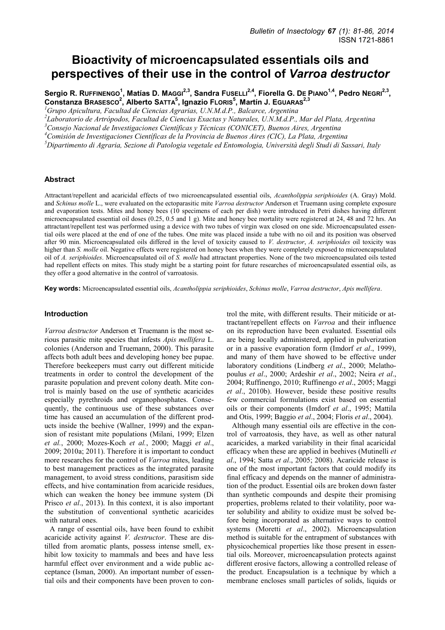# **Bioactivity of microencapsulated essentials oils and perspectives of their use in the control of** *Varroa destructor*

Sergio R. RuFFINENGO<sup>1</sup>, Matías D. MAGGI<sup>2,3</sup>, Sandra FusELLI<sup>2,4</sup>, Fiorella G. DE PIANO<sup>1,4</sup>, Pedro NEGRI<sup>2,3</sup>, **Constanza BRASESCO<sup>2</sup> , Alberto SATTA<sup>5</sup> , Ignazio FLORIS<sup>5</sup> , Martín J. EGUARAS2,3**

*<sup>1</sup>Grupo Apicultura, Facultad de Ciencias Agrarias, U.N.M.d.P., Balcarce, Argentina* 

*2 Laboratorio de Artrópodos, Facultad de Ciencias Exactas y Naturales, U.N.M.d.P., Mar del Plata, Argentina* 

*<sup>3</sup>Consejo Nacional de Investigaciones Científicas y Técnicas (CONICET), Buenos Aires, Argentina* 

*<sup>4</sup>Comisión de Investigaciones Científicas de la Provincia de Buenos Aires (CIC), La Plata, Argentina* 

*<sup>5</sup>Dipartimento di Agraria, Sezione di Patologia vegetale ed Entomologia, Università degli Studi di Sassari, Italy* 

## **Abstract**

Attractant/repellent and acaricidal effects of two microencapsulated essential oils, *Acantholippia seriphioides* (A. Gray) Mold. and *Schinus molle* L., were evaluated on the ectoparasitic mite *Varroa destructor* Anderson et Truemann using complete exposure and evaporation tests. Mites and honey bees (10 specimens of each per dish) were introduced in Petri dishes having different microencapsulated essential oil doses (0.25, 0.5 and 1 g). Mite and honey bee mortality were registered at 24, 48 and 72 hrs. An attractant/repellent test was performed using a device with two tubes of virgin wax closed on one side. Microencapsulated essential oils were placed at the end of one of the tubes. One mite was placed inside a tube with no oil and its position was observed after 90 min. Microencapsulated oils differed in the level of toxicity caused to *V. destructor*, *A. seriphioides* oil toxicity was higher than *S. molle* oil. Negative effects were registered on honey bees when they were completely exposed to microencapsulated oil of *A. seriphioides*. Microencapsulated oil of *S. molle* had attractant properties. None of the two microencapsulated oils tested had repellent effects on mites. This study might be a starting point for future researches of microencapsulated essential oils, as they offer a good alternative in the control of varroatosis.

**Key words:** Microencapsulated essential oils, *Acantholippia seriphioides*, *Schinus molle*, *Varroa destructor*, *Apis mellifera*.

### **Introduction**

*Varroa destructor* Anderson et Truemann is the most serious parasitic mite species that infests *Apis mellifera* L. colonies (Anderson and Truemann, 2000). This parasite affects both adult bees and developing honey bee pupae. Therefore beekeepers must carry out different miticide treatments in order to control the development of the parasite population and prevent colony death. Mite control is mainly based on the use of synthetic acaricides especially pyrethroids and organophosphates. Consequently, the continuous use of these substances over time has caused an accumulation of the different products inside the beehive (Wallner, 1999) and the expansion of resistant mite populations (Milani, 1999; Elzen *et al.*, 2000; Mozes-Koch *et al.*, 2000; Maggi *et al*., 2009; 2010a; 2011). Therefore it is important to conduct more researches for the control of *Varroa* mites, leading to best management practices as the integrated parasite management, to avoid stress conditions, parasitism side effects, and hive contamination from acaricide residues, which can weaken the honey bee immune system (Di Prisco *et al*., 2013). In this context, it is also important the substitution of conventional synthetic acaricides with natural ones.

A range of essential oils, have been found to exhibit acaricide activity against *V. destructor*. These are distilled from aromatic plants, possess intense smell, exhibit low toxicity to mammals and bees and have less harmful effect over environment and a wide public acceptance (Isman, 2000). An important number of essential oils and their components have been proven to control the mite, with different results. Their miticide or attractant/repellent effects on *Varroa* and their influence on its reproduction have been evaluated. Essential oils are being locally administered, applied in pulverization or in a passive evaporation form (Imdorf *et al*., 1999), and many of them have showed to be effective under laboratory conditions (Lindberg *et al*., 2000; Melathopoulus *et al*., 2000; Ardeshir *et al*., 2002; Neira *et al*., 2004; Ruffinengo, 2010; Ruffinengo *et al*., 2005; Maggi *et al*., 2010b). However, beside these positive results few commercial formulations exist based on essential oils or their components (Imdorf *et al*., 1995; Mattila and Otis, 1999; Baggio *et al*., 2004; Floris *et al*., 2004).

Although many essential oils are effective in the control of varroatosis, they have, as well as other natural acaricides, a marked variability in their final acaricidal efficacy when these are applied in beehives (Mutinelli *et al*., 1994; Satta *et al*., 2005; 2008). Acaricide release is one of the most important factors that could modify its final efficacy and depends on the manner of administration of the product. Essential oils are broken down faster than synthetic compounds and despite their promising properties, problems related to their volatility, poor water solubility and ability to oxidize must be solved before being incorporated as alternative ways to control systems (Moretti *et al*., 2002). Microencapsulation method is suitable for the entrapment of substances with physicochemical properties like those present in essential oils. Moreover, microencapsulation protects against different erosive factors, allowing a controlled release of the product. Encapsulation is a technique by which a membrane encloses small particles of solids, liquids or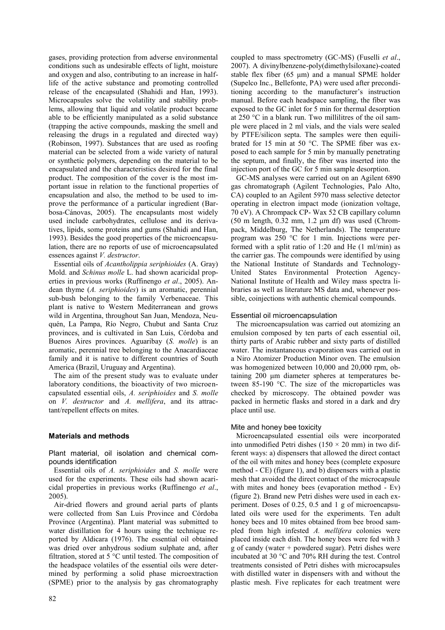gases, providing protection from adverse environmental conditions such as undesirable effects of light, moisture and oxygen and also, contributing to an increase in halflife of the active substance and promoting controlled release of the encapsulated (Shahidi and Han, 1993). Microcapsules solve the volatility and stability problems, allowing that liquid and volatile product became able to be efficiently manipulated as a solid substance (trapping the active compounds, masking the smell and releasing the drugs in a regulated and directed way) (Robinson, 1997). Substances that are used as roofing material can be selected from a wide variety of natural or synthetic polymers, depending on the material to be encapsulated and the characteristics desired for the final product. The composition of the cover is the most important issue in relation to the functional properties of encapsulation and also, the method to be used to improve the performance of a particular ingredient (Barbosa-Cánovas, 2005). The encapsulants most widely used include carbohydrates, cellulose and its derivatives, lipids, some proteins and gums (Shahidi and Han, 1993). Besides the good properties of the microencapsulation, there are no reports of use of microencapsulated essences against *V. destructor*.

Essential oils of *Acantholippia seriphioides* (A. Gray) Mold. and *Schinus molle* L. had shown acaricidal properties in previous works (Ruffinengo *et al*., 2005). Andean thyme (*A. seriphioides*) is an aromatic, perennial sub-bush belonging to the family Verbenaceae. This plant is native to Western Mediterranean and grows wild in Argentina, throughout San Juan, Mendoza, Neuquén, La Pampa, Río Negro, Chubut and Santa Cruz provinces, and is cultivated in San Luis, Córdoba and Buenos Aires provinces. Aguaribay (*S. molle*) is an aromatic, perennial tree belonging to the Anacardiaceae family and it is native to different countries of South America (Brazil, Uruguay and Argentina).

The aim of the present study was to evaluate under laboratory conditions, the bioactivity of two microencapsulated essential oils, *A. seriphioides* and *S. molle* on *V. destructor* and *A. mellifera*, and its attractant/repellent effects on mites.

# **Materials and methods**

Plant material, oil isolation and chemical compounds identification

Essential oils of *A. seriphioides* and *S. molle* were used for the experiments. These oils had shown acaricidal properties in previous works (Ruffinengo *et al*., 2005).

Air-dried flowers and ground aerial parts of plants were collected from San Luis Province and Córdoba Province (Argentina). Plant material was submitted to water distillation for 4 hours using the technique reported by Aldicara (1976). The essential oil obtained was dried over anhydrous sodium sulphate and, after filtration, stored at 5 °C until tested. The composition of the headspace volatiles of the essential oils were determined by performing a solid phase microextraction (SPME) prior to the analysis by gas chromatography

82

coupled to mass spectrometry (GC-MS) (Fuselli *et al*., 2007). A divinylbenzene-poly(dimethylsiloxane)-coated stable flex fiber (65  $\mu$ m) and a manual SPME holder (Supelco Inc., Bellefonte, PA) were used after preconditioning according to the manufacturer's instruction manual. Before each headspace sampling, the fiber was exposed to the GC inlet for 5 min for thermal desorption at 250 °C in a blank run. Two millilitres of the oil sample were placed in 2 ml vials, and the vials were sealed by PTFE/silicon septa. The samples were then equilibrated for 15 min at 50 °C. The SPME fiber was exposed to each sample for 5 min by manually penetrating the septum, and finally, the fiber was inserted into the injection port of the GC for 5 min sample desorption.

GC-MS analyses were carried out on an Agilent 6890 gas chromatograph (Agilent Technologies, Palo Alto, CA) coupled to an Agilent 5970 mass selective detector operating in electron impact mode (ionization voltage, 70 eV). A Chrompack CP- Wax 52 CB capillary column (50 m length,  $0.32$  mm,  $1.2 \mu m$  df) was used (Chrompack, Middelburg, The Netherlands). The temperature program was 250 °C for 1 min. Injections were performed with a split ratio of 1:20 and He (1 ml/min) as the carrier gas. The compounds were identified by using the National Institute of Standards and Technology-United States Environmental Protection Agency-National Institute of Health and Wiley mass spectra libraries as well as literature MS data and, whenever possible, coinjections with authentic chemical compounds.

# Essential oil microencapsulation

The microencapsulation was carried out atomizing an emulsion composed by ten parts of each essential oil, thirty parts of Arabic rubber and sixty parts of distilled water. The instantaneous evaporation was carried out in a Niro Atomizer Production Minor oven. The emulsion was homogenized between 10,000 and 20,000 rpm, obtaining 200 μm diameter spheres at temperatures between 85-190 °C. The size of the microparticles was checked by microscopy. The obtained powder was packed in hermetic flasks and stored in a dark and dry place until use.

# Mite and honey bee toxicity

Microencapsulated essential oils were incorporated into unmodified Petri dishes (150  $\times$  20 mm) in two different ways: a) dispensers that allowed the direct contact of the oil with mites and honey bees (complete exposure method - CE) (figure 1), and b) dispensers with a plastic mesh that avoided the direct contact of the microcapsule with mites and honey bees (evaporation method - Ev) (figure 2). Brand new Petri dishes were used in each experiment. Doses of 0.25, 0.5 and 1 g of microencapsulated oils were used for the experiments. Ten adult honey bees and 10 mites obtained from bee brood sampled from high infested *A. mellifera* colonies were placed inside each dish. The honey bees were fed with 3 g of candy (water + powdered sugar). Petri dishes were incubated at 30 °C and 70% RH during the test. Control treatments consisted of Petri dishes with microcapsules with distilled water in dispensers with and without the plastic mesh. Five replicates for each treatment were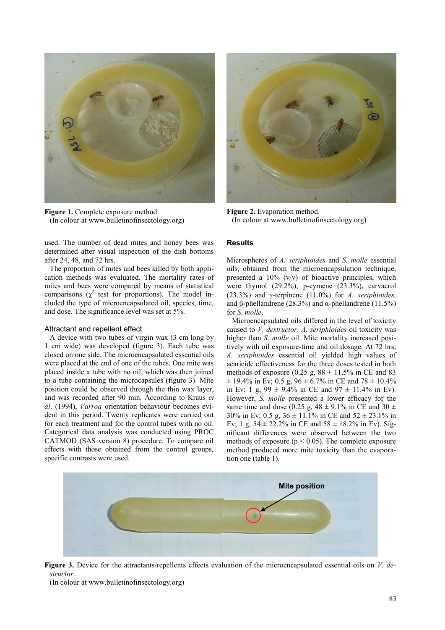

**Figure 1.** Complete exposure method. (In colour at www.bulletinofinsectology.org)

used. The number of dead mites and honey bees was determined after visual inspection of the dish bottoms after 24, 48, and 72 hrs.

The proportion of mites and bees killed by both application methods was evaluated. The mortality rates of mites and bees were compared by means of statistical comparisons  $(\chi^2)$  test for proportions). The model included the type of microencapsulated oil, species, time, and dose. The significance level was set at 5%.

#### Attractant and repellent effect

A device with two tubes of virgin wax (3 cm long by 1 cm wide) was developed (figure 3). Each tube was closed on one side. The microencapsulated essential oils were placed at the end of one of the tubes. One mite was placed inside a tube with no oil, which was then joined to a tube containing the microcapsules (figure 3). Mite position could be observed through the thin wax layer, and was recorded after 90 min. According to Kraus *et al*. (1994), *Varroa* orientation behaviour becomes evident in this period. Twenty replicates were carried out for each treatment and for the control tubes with no oil. Categorical data analysis was conducted using PROC CATMOD (SAS version 8) procedure. To compare oil effects with those obtained from the control groups, specific contrasts were used.



**Figure 2.** Evaporation method. (In colour at www.bulletinofinsectology.org)

## **Results**

Microspheres of *A. seriphioides* and *S. molle* essential oils, obtained from the microencapsulation technique, presented a  $10\%$  (v/v) of bioactive principles, which were thymol (29.2%), p-cymene (23.3%), carvacrol (23.3%) and  $\gamma$ -terpinene (11.0%) for *A. seriphioides*, and β-phellandrene (28.3%) and α-phellandrene (11.5%) for *S. molle*.

Microencapsulated oils differed in the level of toxicity caused to *V. destructor*. *A. seriphioides* oil toxicity was higher than *S. molle* oil. Mite mortality increased positively with oil exposure-time and oil dosage. At 72 hrs, *A. seriphioides* essential oil yielded high values of acaricide effectiveness for the three doses tested in both methods of exposure (0.25 g,  $88 \pm 11.5\%$  in CE and 83  $\pm$  19.4% in Ev; 0.5 g, 96  $\pm$  6.7% in CE and 78  $\pm$  10.4% in Ev; 1 g, 99  $\pm$  9.4% in CE and 97  $\pm$  11.4% in Ev). However, *S. molle* presented a lower efficacy for the same time and dose (0.25 g,  $48 \pm 9.1\%$  in CE and 30  $\pm$ 30% in Ev; 0.5 g,  $36 \pm 11.1$ % in CE and  $52 \pm 23.1$ % in Ev; 1 g,  $54 \pm 22.2\%$  in CE and  $58 \pm 18.2\%$  in Ev). Significant differences were observed between the two methods of exposure ( $p < 0.05$ ). The complete exposure method produced more mite toxicity than the evaporation one (table 1).



**Figure 3.** Device for the attractants/repellents effects evaluation of the microencapsulated essential oils on *V. destructor*.

(In colour at www.bulletinofinsectology.org)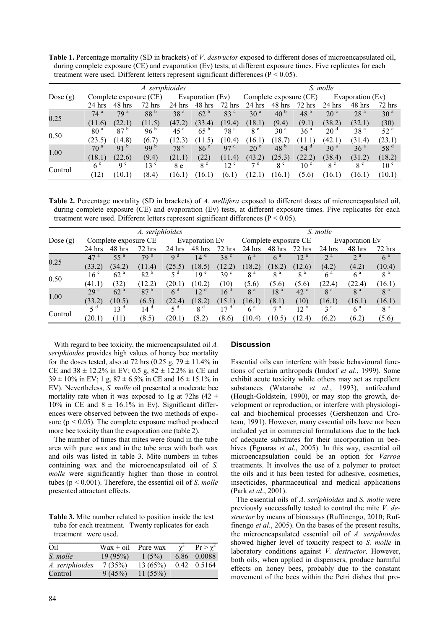**Table 1.** Percentage mortality (SD in brackets) of *V. destructor* exposed to different doses of microencapsulated oil, during complete exposure (CE) and evaporation (Ev) tests, at different exposure times. Five replicates for each treatment were used. Different letters represent significant differences (P < 0.05).

|            | A. seriphioides |                 |                        |                  |                 |                 |                        | S. molle        |                 |                  |                 |                 |  |  |
|------------|-----------------|-----------------|------------------------|------------------|-----------------|-----------------|------------------------|-----------------|-----------------|------------------|-----------------|-----------------|--|--|
| Dose $(g)$ |                 |                 | Complete exposure (CE) | Evaporation (Ev) |                 |                 | Complete exposure (CE) |                 |                 | Evaporation (Ev) |                 |                 |  |  |
|            | $24$ hrs        | 48 hrs          | $72$ hrs               | 24 hrs           | 48 hrs          | $72$ hrs        | $24$ hrs               | 48 hrs          | $72$ hrs        | $24$ hrs         | 48 hrs          | $72$ hrs        |  |  |
| 0.25       | 74 <sup>a</sup> | 79 <sup>a</sup> | 88 <sup>b</sup>        | 38 <sup>a</sup>  | 62 <sup>b</sup> | 83 <sup>c</sup> | 30 <sup>a</sup>        | 40 <sup>b</sup> | 48 <sup>b</sup> | 20 <sup>c</sup>  | 28 <sup>a</sup> | 30 <sup>a</sup> |  |  |
|            | (11.6)          | (22.1)          | (11.5)                 | (47.2)           | (33.4)          | (19.4)          | (18.1)                 | (9.4)           | (9.1)           | (38.2)           | (32.1)          | (30)            |  |  |
| 0.50       | 80 <sup>a</sup> | 87 <sup>b</sup> | 96 $b$                 | 45 <sup>a</sup>  | $65^{\circ}$    | 78 <sup>c</sup> | 8 <sup>c</sup>         | 30 <sup>a</sup> | 36 <sup>a</sup> | 20 <sup>d</sup>  | 38 <sup>a</sup> | 52 <sup>c</sup> |  |  |
|            | (23.5)          | (14.8)          | (6.7)                  | (12.3)           | (11.5)          | (10.4)          | (16.1)                 | (18.7)          | (11.1)          | (42.1)           | (31.4)          | (23.1)          |  |  |
| 1.00       | 70 <sup>a</sup> | $91^{b}$        | 99 <sup>b</sup>        | 78 <sup>c</sup>  | 86 <sup>c</sup> | 97 <sup>d</sup> | 20 <sup>c</sup>        | 48 <sup>b</sup> | 54 <sup>d</sup> | 30 <sup>a</sup>  | 36 <sup>a</sup> | 58 <sup>d</sup> |  |  |
|            | (18.1)          | (22.6)          | (9.4)                  | (21.1)           | (22)            | (11.4)          | (43.2)                 | (25.3)          | (22.2)          | (38.4)           | (31.2)          | (18.2)          |  |  |
| Control    | 6 <sup>c</sup>  | q c             | 13 <sup>c</sup>        | 8 e              | 8 <sup>e</sup>  | 12 <sup>e</sup> | 7e                     | 8 <sup>e</sup>  | 10 <sup>e</sup> | 8 <sup>e</sup>   | 8 <sup>e</sup>  | 10 <sup>e</sup> |  |  |
|            | 12)             | (10.1)          | (8.4)                  | (16.1)           | (16.1)          | (6.1)           |                        | 16.1)           | (5.6)           | (16.1)           | (16.1)          | (10.1)          |  |  |

**Table 2.** Percentage mortality (SD in brackets) of *A. mellifera* exposed to different doses of microencapsulated oil, during complete exposure (CE) and evaporation (Ev) tests, at different exposure times. Five replicates for each treatment were used. Different letters represent significant differences (P < 0.05).

|            | A. seriphioides      |                 |                 |                |                 |                 | S. molle             |                 |                 |                |                |                |  |
|------------|----------------------|-----------------|-----------------|----------------|-----------------|-----------------|----------------------|-----------------|-----------------|----------------|----------------|----------------|--|
| Dose $(g)$ | Complete exposure CE |                 |                 | Evaporation Ev |                 |                 | Complete exposure CE |                 |                 | Evaporation Ev |                |                |  |
|            | $24$ hrs             | 48 hrs          | $72$ hrs        | $24$ hrs       | 48 hrs          | $72$ hrs        | $24$ hrs             | $48$ hrs        | $72$ hrs        | $24$ hrs       | 48 hrs         | $72$ hrs       |  |
| 0.25       | 47 <sup>a</sup>      | 55 <sup>a</sup> | 79 <sup>b</sup> | q <sup>d</sup> | 14 <sup>d</sup> | 38 <sup>c</sup> | 6 <sup>a</sup>       | 6 <sup>a</sup>  | 12 <sup>a</sup> | 2 <sup>a</sup> | 2 <sup>a</sup> | 6 <sup>a</sup> |  |
|            | (33.2)               | (34.2)          | (11.4)          | (25.5)         | (18.5)          | (12.2)          | (18.2)               | (18.2)          | (12.6)          | (4.2)          | (4.2)          | (10.4)         |  |
| 0.50       | 16 <sup>c</sup>      | 62 <sup>a</sup> | $82^{b}$        | ςd             | 19 <sup>e</sup> | 39 <sup>c</sup> | 8 <sup>a</sup>       | 8 <sup>a</sup>  | 8 <sup>a</sup>  | 6 <sup>a</sup> | 6 <sup>a</sup> | 8 <sup>a</sup> |  |
|            | (41.1)               | (32)            | (12.2)          | (20.1)         | (10.2)          | (10)            | (5.6)                | (5.6)           | (5.6)           | (22.4)         | (22.4)         | (16.1)         |  |
| 1.00       | 29 <sup>c</sup>      | 62 <sup>a</sup> | 87 <sup>b</sup> | 6 <sup>d</sup> | 12 <sup>d</sup> | 16 <sup>d</sup> | 8 <sup>a</sup>       | 18 <sup>a</sup> | 42 <sup>c</sup> | 8 <sup>a</sup> | 8 <sup>a</sup> | 8 <sup>a</sup> |  |
|            | (33.2)               | (10.5)          | (6.5)           | (22.4)         | (18.2)          | (15.1)          | (16.1)               | (8.1)           | (10)            | (16.1)         | (16.1)         | (16.1)         |  |
| Control    |                      | 13 <sup>d</sup> | 14 <sup>a</sup> | d              | 8 <sup>d</sup>  | 17 <sup>d</sup> | 6 <sup>a</sup>       | $\tau$ a        | $12~^{\rm a}$   | 3 <sup>a</sup> | 6 <sup>a</sup> | 8 <sup>a</sup> |  |
|            | (20.1)               | (11)            | (8.5)           | (20.1)         | (8.2)           | (8.6)           | (10.4)               | (10.5)          | (12.4)          | (6.2)          | (6.2)          | (5.6)          |  |

With regard to bee toxicity, the microencapsulated oil *A. seriphioides* provides high values of honey bee mortality for the doses tested, also at 72 hrs (0.25 g, 79  $\pm$  11.4% in CE and  $38 \pm 12.2\%$  in EV; 0.5 g,  $82 \pm 12.2\%$  in CE and  $39 \pm 10\%$  in EV; 1 g,  $87 \pm 6.5\%$  in CE and  $16 \pm 15.1\%$  in EV). Nevertheless, *S. molle* oil presented a moderate bee mortality rate when it was exposed to 1g at 72hs (42  $\pm$ 10% in CE and  $8 \pm 16.1$ % in Ev). Significant differences were observed between the two methods of exposure ( $p < 0.05$ ). The complete exposure method produced more bee toxicity than the evaporation one (table 2).

The number of times that mites were found in the tube area with pure wax and in the tube area with both wax and oils was listed in table 3. Mite numbers in tubes containing wax and the microencapsulated oil of *S. molle* were significantly higher than those in control tubes (p < 0.001). Therefore, the essential oil of *S. molle* presented attractant effects.

**Table 3.** Mite number related to position inside the test tube for each treatment. Twenty replicates for each treatment were used.

| Oil             | $\text{Wax} + \text{oil}$ | Pure wax |      | $Pr > \gamma^2$     |
|-----------------|---------------------------|----------|------|---------------------|
| S. molle        | 19(95%)                   | 1(5%)    | 6.86 | 0.0088              |
| A. seriphioides | 7(35%)                    | 13(65%)  |      | $0.42 \quad 0.5164$ |
| Control         | 9(45%)                    | 11(55%)  |      |                     |

## **Discussion**

Essential oils can interfere with basic behavioural functions of certain arthropods (Imdorf *et al*., 1999). Some exhibit acute toxicity while others may act as repellent substances (Watanabe *et al*., 1993), antifeedand (Hough-Goldstein, 1990), or may stop the growth, development or reproduction, or interfere with physiological and biochemical processes (Gershenzon and Croteau, 1991). However, many essential oils have not been included yet in commercial formulations due to the lack of adequate substrates for their incorporation in beehives (Eguaras *et al*., 2005). In this way, essential oil microencapsulation could be an option for *Varroa* treatments. It involves the use of a polymer to protect the oils and it has been tested for adhesive, cosmetics, insecticides, pharmaceutical and medical applications (Park *et al*., 2001).

The essential oils of *A. seriphioides* and *S. molle* were previously successfully tested to control the mite *V. destructor* by means of bioassays (Ruffinengo, 2010; Ruffinengo *et al.*, 2005). On the bases of the present results, the microencapsulated essential oil of *A. seriphioides* showed higher level of toxicity respect to *S. molle* in laboratory conditions against *V. destructor*. However, both oils, when applied in dispensers, produce harmful effects on honey bees, probably due to the constant movement of the bees within the Petri dishes that pro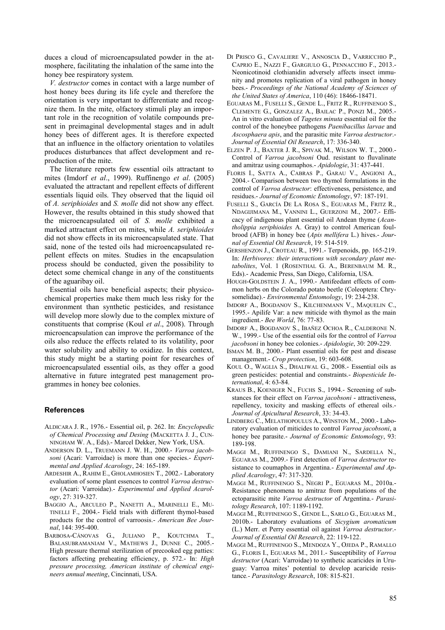duces a cloud of microencapsulated powder in the atmosphere, facilitating the inhalation of the same into the honey bee respiratory system.

*V. destructor* comes in contact with a large number of host honey bees during its life cycle and therefore the orientation is very important to differentiate and recognize them. In the mite, olfactory stimuli play an important role in the recognition of volatile compounds present in preimaginal developmental stages and in adult honey bees of different ages. It is therefore expected that an influence in the olfactory orientation to volatiles produces disturbances that affect development and reproduction of the mite.

The literature reports few essential oils attractant to mites (Imdorf *et al*., 1999). Ruffinengo *et al*. (2005) evaluated the attractant and repellent effects of different essentials liquid oils. They observed that the liquid oil of *A. seriphioides* and *S. molle* did not show any effect. However, the results obtained in this study showed that the microencapsulated oil of *S. molle* exhibited a marked attractant effect on mites, while *A. seriphioides* did not show effects in its microencapsulated state. That said, none of the tested oils had microencapsulated repellent effects on mites. Studies in the encapsulation process should be conducted, given the possibility to detect some chemical change in any of the constituents of the aguaribay oil.

Essential oils have beneficial aspects; their physicochemical properties make them much less risky for the environment than synthetic pesticides, and resistance will develop more slowly due to the complex mixture of constituents that comprise (Koul *et al*., 2008). Through microencapsulation can improve the performance of the oils also reduce the effects related to its volatility, poor water solubility and ability to oxidize. In this context, this study might be a starting point for researches of microencapsulated essential oils, as they offer a good alternative in future integrated pest management programmes in honey bee colonies.

#### **References**

- ALDICARA J. R., 1976.- Essential oil, p. 262. In: *Encyclopedic of Chemical Processing and Desing* (MACKETTA J. J., CUN-NINGHAM W. A., Eds).- Marcel Dekker, New York, USA.
- ANDERSON D. L., TRUEMANN J. W. H., 2000.- *Varroa jacobsoni* (Acari: Varroidae) is more than one species.- *Experimental and Applied Acarology*, 24: 165-189.
- ARDESHIR A., RAHIM E., GHOLAMHOSIEN T., 2002.- Laboratory evaluation of some plant essences to control *Varroa destructor* (Acari: Varroidae).- *Experimental and Applied Acarology*, 27: 319-327.
- BAGGIO A., ARCULEO P., NANETTI A., MARINELLI E., MU-TINELLI F., 2004.- Field trials with different thymol-based products for the control of varroosis.- *American Bee Journal*, 144: 395-400.
- BARBOSA-CÁNOVAS G., JULIANO P., KOUTCHMA T., BALASUBRAMANIAM V., MATHEWS J., DUNNE C., 2005.- High pressure thermal sterilization of precooked egg patties: factors affecting preheating efficiency, p. 572.- In: *High pressure processing, American institute of chemical engineers annual meeting*, Cincinnati, USA.
- DI PRISCO G., CAVALIERE V., ANNOSCIA D., VARRICCHIO P., CAPRIO E., NAZZI F., GARGIULO G., PENNACCHIO F., 2013.- Neonicotinoid clothianidin adversely affects insect immunity and promotes replication of a viral pathogen in honey bees.- *Proceedings of the National Academy of Sciences of the United States of America*, 110 (46): 18466-18471.
- EGUARAS M., FUSELLI S., GENDE L., FRITZ R., RUFFINENGO S., CLEMENTE G., GONZALEZ A., BAILAC P., PONZI M., 2005.- An in vitro evaluation of *Tagetes minuta* essential oil for the control of the honeybee pathogens *Paenibacillus larvae* and *Ascosphaera apis*, and the parasitic mite *Varroa destructor*.- *Journal of Essential Oil Research*, 17: 336-340.
- ELZEN P. J., BAXTER J. R., SPIVAK M., WILSON W. T., 2000.- Control of *Varroa jacobsoni* Oud. resistant to fluvalinate and amitraz using coumaphos.- *Apidologie*, 31: 437-441.
- FLORIS I., SATTA A., CABRAS P., GARAU V., ANGIONI A., 2004.- Comparison between two thymol formulations in the control of *Varroa destructor*: effectiveness, persistence, and residues.- *Journal of Economic Entomology*, 97: 187-191.
- FUSELLI S., GARCÍA DE LA ROSA S., EGUARAS M., FRITZ R., NDAGIJIMANA M., VANNINI L., GUERZONI M., 2007.- Efficacy of indigenous plant essential oil Andean thyme (*Acantholippia seriphioides* A. Gray) to control American foulbrood (AFB) in honey bee (*Apis mellifera* L.) hives.- *Journal of Essential Oil Research*, 19: 514-519.
- GERSHENZON J., CROTEAU R., 1991.- Terpenoids, pp. 165-219. In: *Herbivores: their interactions with secondary plant metabolites*, Vol. 1 (ROSENTHAL G. A., BERENBAUM M. R., Eds).- Academic Press, San Diego, California, USA.
- HOUGH-GOLDSTEIN J. A., 1990.- Antifeedant effects of common herbs on the Colorado potato beetle (Coleoptera: Chrysomelidae).- *Environmental Entomology*, 19: 234-238.
- IMDORF A., BOGDANOV S., KILCHENMANN V., MAQUELIN C., 1995.- Apilife Var: a new miticide with thymol as the main ingredient.- *Bee World*, 76: 77-83.
- IMDORF A., BOGDANOV S., IBAÑEZ OCHOA R., CALDERONE N. W., 1999.- Use of the essential oils for the control of *Varroa jacobsoni* in honey bee colonies.- *Apidologie*, 30: 209-229.
- ISMAN M. B., 2000.- Plant essential oils for pest and disease management.- *Crop protection*, 19: 603-608.
- KOUL O., WAGLIA S., DHALIWAL G., 2008.- Essential oils as green pesticides: potential and constraints.- *Biopesticide International*, 4: 63-84.
- KRAUS B., KOENIGER N., FUCHS S., 1994.- Screening of substances for their effect on *Varroa jacobsoni* - attractiveness, repellency, toxicity and masking effects of ethereal oils.- *Journal of Apicultural Research*, 33: 34-43.
- LINDBERG C., MELATHOPOULUS A., WINSTON M., 2000.- Laboratory evaluation of miticides to control *Varroa jacobsoni*, a honey bee parasite.- *Journal of Economic Entomology*, 93: 189-198.
- MAGGI M., RUFFINENGO S., DAMIANI N., SARDELLA N., EGUARAS M., 2009.- First detection of *Varroa destructor* resistance to coumaphos in Argentina.- *Experimental and Applied Acarology*, 47: 317-320.
- MAGGI M., RUFFINENGO S., NEGRI P., EGUARAS M., 2010a.- Resistance phenomena to amitraz from populations of the ectoparasitic mite *Varroa destructor* of Argentina.- *Parasitology Research*, 107: 1189-1192.
- MAGGI M., RUFFINENGO S., GENDE L., SARLO G., EGUARAS M., 2010b.- Laboratory evaluations of *Sicygium aromaticum* (L.) Merr. et Perry essential oil against *Varroa destructor*.- *Journal of Essential Oil Research*, 22: 119-122.
- MAGGI M., RUFFINENGO S., MENDOZA Y., OJEDA P., RAMALLO G., FLORIS I., EGUARAS M., 2011.- Susceptibility of *Varroa destructor* (Acari: Varroidae) to synthetic acaricides in Uruguay: Varroa mites' potential to develop acaricide resistance*.- Parasitology Research*, 108: 815-821.